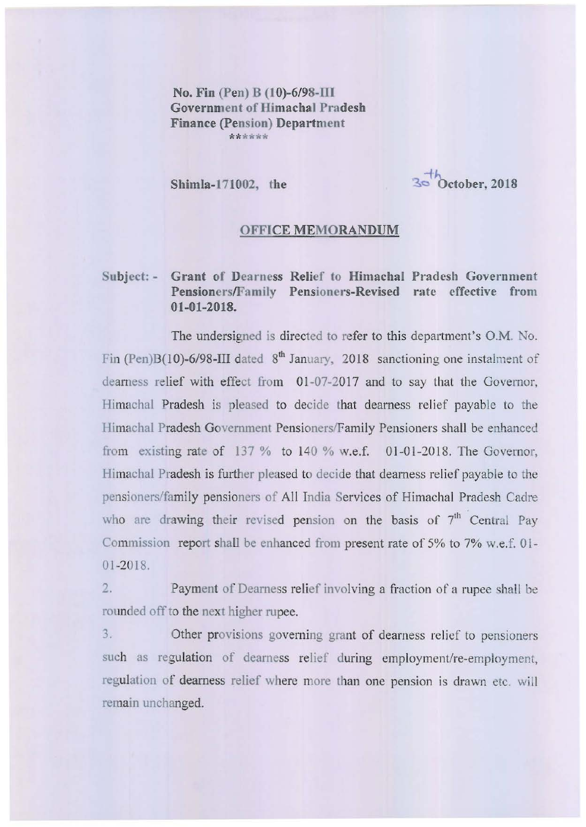No. Fin (Pen) B  $(10)$ -6/98-III Government of Himachal Pradesh Finance (pension) Department **\*\*\*\*\*\*** 

Shimla-I71002, the

 $3.5$ bctober, 2018

## OFFICE MEMORANDUM

## Subject: - Grant of Dearness Relief to Himachal Pradesh Government Pensioners/Family Pensioners-Revised rate effective from 01-01-201S.

The undersigned is directed to refer to this department's O.M. No. Fin (Pen)B(10)-6/98-III dated  $8<sup>th</sup>$  January, 2018 sanctioning one instalment of dearness relief with effect from 01 -07-2017 and to say that the Governor, Himachal Pradesh is pleased to decide that dearness relief payablc to the Himachal Pradesh Government Pensioners/Family Pensioners shall be enhanced from existing rate of 137 % to 140 % w.e.f. 01-01-2018. The Governor, Himachal Pradesh is further pleased to decide that dearness relief payable to the pensioners/family pensioners of All India Services of Himachal Pradesh Cadre who are drawing their revised pension on the basis of 7<sup>th</sup> Central Pay Commission report shall be enhanced from present rate of 5% to 7% w.e.f. 01 - 01 -2018.

2. Payment of Dearness relief involving a fraction of a rupee shall be rounded off to the next higher rupee.

3. Other provisions governing grant of dearness rclicf to pensioners such as regulation of dearness relief during employment/re-employment, **regulation of dearness relief where more than onc pension is drawn etc. will**  remain unchanged.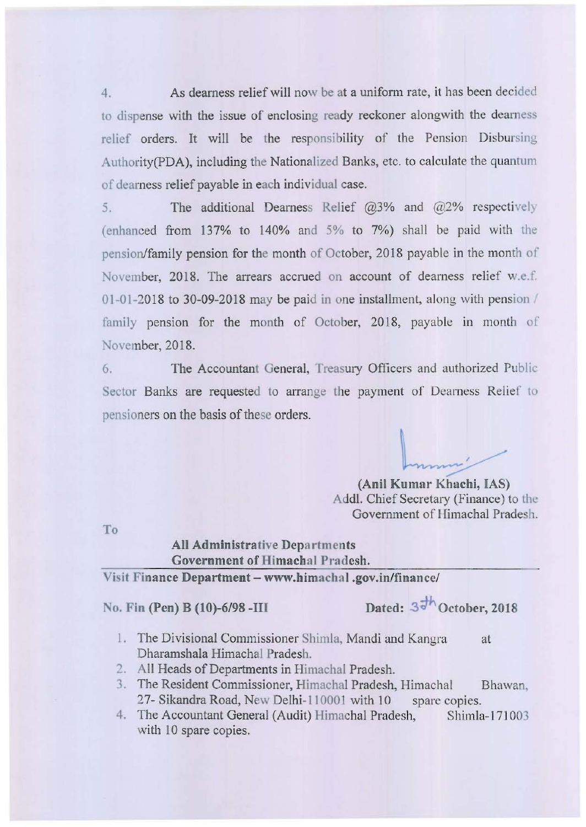4. As dearness relief will now be at a uniform rate, it has been decided to dispense with the issue of enclosing ready reckoner alongwith the dcarness relief orders. It will be the responsibility of the Pension Disbursing Authority(PDA), including the Nationalized Banks, etc. to calculate the quantum of dearness relief payable in each individual case.

5. The additional Dearness Relief  $(2.3\%$  and  $(2.2\%)$  respectively (enhanced from 137% to 140% and 5% to 7%) shall be paid with the pension/family pension for the month of October, 2018 payable in the month of November, 2018. The arrears accrued on account of dearness relief w.e.f. 01-01-2018 to 30-09-2018 may be paid in one installment, along with pension / family pension for the month of October, 2018, payable in month of November, 2018.

6. The Accountant General, Treasury Officers and authorized Public Sector Banks are requested to arrange the payment of Dearness Relief to pensioners on the basis of these orders.

(Anil Kumar Khachi, IAS)

Add!. Chief Secretary (Finance) to the Government of Himachal Pradesh.

To

## All Administrative Departments Government of Himachal Pradesh.

Visit Finance Department - www.himachal .gov.in/finance/

No. Fin (Pen) B (10)-6/98 -III Dated:  $3\frac{h}{d}$  October, 2018

- 1. The Divisional Commissioner Shimla, Mandi and Kangra at Dharamshala Himachal Pradesh.
- 2. All Heads of Departments in Himachal Pradesh.
- 3. The Resident Commissioner, Himachal Pradesh, Himachal Bhawan, 27- Sikandra Road, New Delhi-110001 with 10 spare copies.
- 4. The Accountant General (Audit) Himachal Pradesh, Shimla-171003 with 10 spare copies.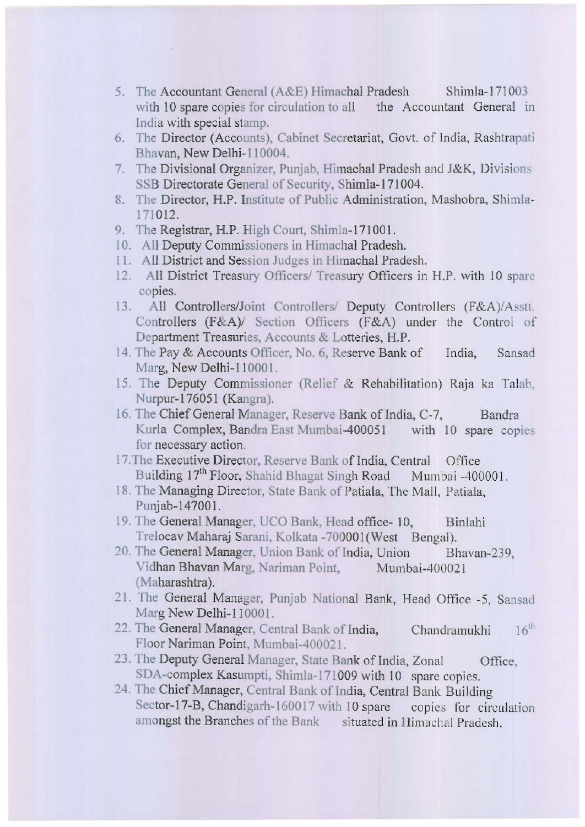- 5. The Accountant General (A&E) Himachal Pradesh Shimla-l7I 003 with 10 spare copies for circulation to all the Accountant General in India with special stamp.
- 6. The Director (Accounts), Cabinet Secretariat, Govt. of India, Rashtrapati Bhavan, New Delhi-II 0004.
- 7. The Divisional Organizer, Punjab, Himachal Pradesh and J&K, Divisions SSB Directorate General of Security, Shimla-171004.
- 8. The Director, H.P. Institute of Public Administration, Mashobra, Shimla-171 012.
- 9. The Registrar, H.P. High Court, Shimla-I7IOO!.
- 10. All Deputy Commissioners in Himachal Pradesh.
- II. All District and Session Judges in Himachal Pradesh.
- 12. All District Treasury Officers/ Treasury Officers in H.P. with 10 spare **copies.**
- 13. All Controllers/Joint Controllers/ Deputy Controllers (F&A)/Asstt. Controllers (F&A)/ Section Officers (F&A) under the Control of Department Treasuries, Accounts & Lotteries, H.P.
- 14. The Pay & Accounts Officer, No. 6, Reserve Bank of India, Sansad Marg, New Delhi-110001.
- 15. The Deputy Commissioner (Relief & Rehabilitation) Raja ka Talab, Nurpur-I76051 (Kangra).
- 16. The Chief General Manager, Reserve Bank of India, C-7, Bandra Kurla Complex, Bandra East Mumbai-400051 with 10 spare copies **for necessary action.**
- 17.The Executive Director, Reserve Bank of India, Central Office Building 17<sup>th</sup> Floor, Shahid Bhagat Singh Road Mumbai -400001.
- 18. The Managing Director, State Bank of Patiala, The Mall, Patiala, Punjab-147001.
- 19. The General Manager, UCO Bank, Head office-10, Binlahi Trelocav Maharaj Sarani, Kolkata -700001(West Bengal).
- 20. The General Manager, Union Bank of India, Union Bhavan-239, Vidhan Bhavan Marg, Nariman Point, Mumbai-400021 (Maharashtra).
- 21. The General Manager, Punjab National Bank, Head Office -5, Sansad Marg New Delhi-110001.
- 22. The General Manager, Central Bank of India, Chandramukhi  $16<sup>th</sup>$ Floor Nariman Point, Mumbai-400021.
- 23. The Deputy General Manager, State Bank of India, Zonal Office, SDA-complex Kasumpti, Shimla-171009 with 10 spare copies.
- 24. The Chief Manager, Central Bank of India, Central Bank Building Sector-17-B, Chandigarh-160017 with 10 spare copies for circulation **amongst the Branches** of the **Bank situated in Himachal Pradesh.**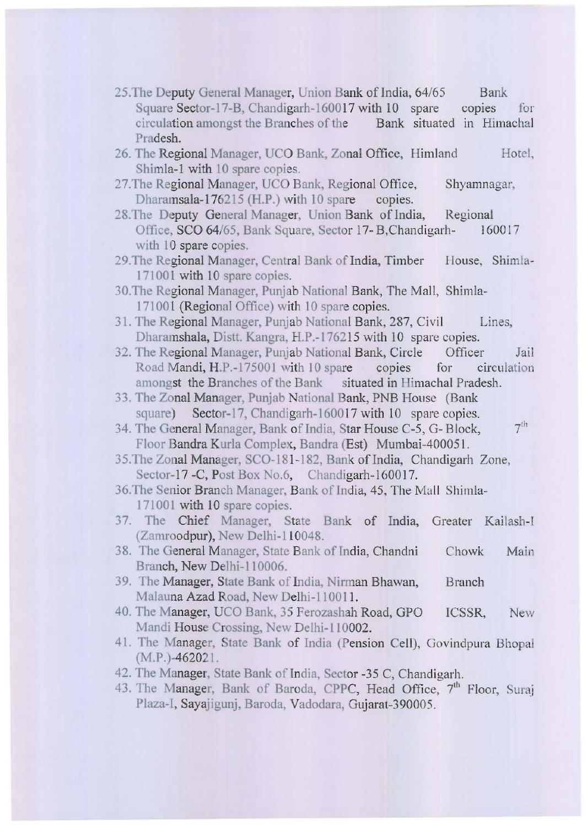- 25. The Deputy General Manager, Union Bank of India, 64/65 Square Sector-17-B, Chandigarh-160017 with 10 spare circulation amongst the Branches of the Pradesh. Bank **copIes** for Bank situated in **Himachal**
- 26. The Regional Manager, UCO Bank, Zonal Office, Himland Shimla-I with 10 spare copies. Hotel,
- 27. The Regional Manager, UCO Bank, Regional Office, Shyamnagar, Dharamsala-176215 (H.P.) with 10 spare copies.
- 28.The Deputy General Manager, Union Bank of India, Regional Office, SCO 64/65, Bank Square, Sector 17- B,Chandigarh- 160017 with 10 spare copies.
- 29. The Regional Manager, Central Bank of India, Timber House, Shimla-171001 with 10 spare copies.
- 30.The Regional Manager, Punjab National Bank, The Mall, Shimla-171001 (Regional Office) with 10 spare copies.
- 31. The Regional Manager, Punjab National Bank, 287, Civil Lines, Dharamshala, Distt. Kangra, H.P.-176215 with 10 spare copies.
- 32. The Regional Manager, Punjab National Bank, Circle Officer Jail Road Mandi, H.P.-175001 with 10 spare copies for circulation amongst the Branches of the Bank situated in Himachal Pradesh.
- 33. The Zonal Manager, Punjab National Bank, PNB House (Bank square) Sector-17, Chandigarh-160017 with 10 spare copies.
- $7<sup>th</sup>$ 34. The General Manager, Bank of India, Star House C-5, G- Block, Floor Bandra Kurla Complex, Bandra (Est) Mumbai-400051.
- 35.The Zonal Manager, SCO-18 1-182, Bank of India, Chandigarh Zone, Sector-17 -C, Post Box No.6, Chandigarh-160017.
- 36. The Senior Branch Manager, Bank of India, 45, The Mall Shimla-171001 with 10 spare copies.
- 37. The Chief Manager, State Bank of India, Greater Kailash-I (Zamroodpur), New Delhi-I 10048.
- 38. The General Manager, State Bank of India, Chandni Branch, New Delhi-110006. Chowk Main
- 39. The Manager, State Bank of India, Nirman Bhawan, Malauna Azad Road, New Delhi-110011. **Branch**
- 40. The Manager, UCO Bank, 35 Ferozashah Road, GPO Mandi House Crossing, New Delhi-110002. ICSSR, **New**
- 41. The Manager, State Bank of India (Pension Cell), Govindpura Bhopal (M.P.)-462021.
- 42. The Manager, State Bank of India, Sector -35 C, Chandigarh.
- 43. The Manager, Bank of Baroda, CPPC, Head Office, 7<sup>th</sup> Floor, Suraj Plaza-I, Sayajigunj, Baroda, Vadodara, Gujarat-390005.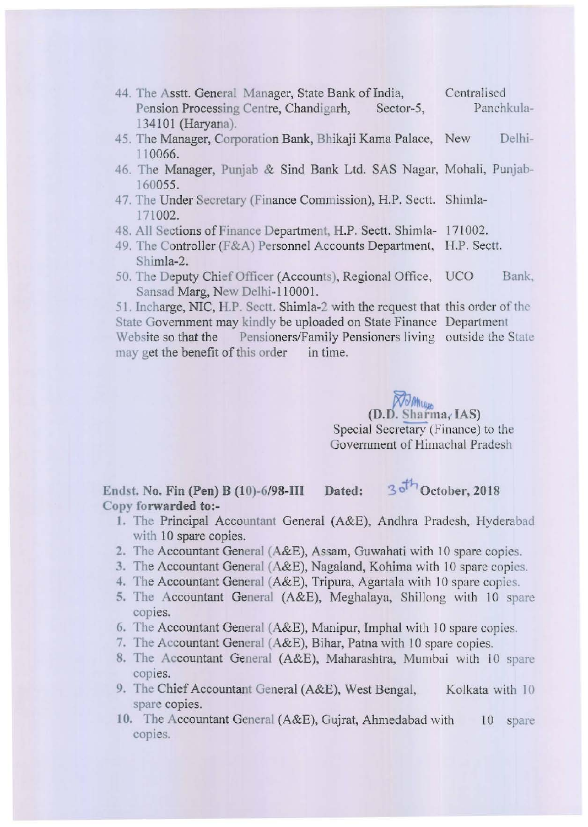- 44. The Asstt. General Manager, State Bank of India, Pension Processing Centre, Chandigarh, Sector-5, 134101 (Haryana). **Centralised**  Panchkula-
- 45. The Manager, Corporation Bank, Bhikaji Kama Palace, New Delhi-11 0066.
- 46. The Manager, Punjab & Sind Bank Ltd. SAS Nagar, Mohali, Punjab-160055.
- 47. The Under Secretary (Finance Commission), H.P. Seett. Shimla-171 002.
- 48. All Sections of Finance Department, H.P. Sectt. Shimla- 171002.
- 49. The Controller (F&A) Personnel Accounts Department, H.P. Sectt. Shimla-2.
- 50. The Deputy Chief Officer (Accounts), Regional Office, UCO Bank, Sansad Marg, New Delhi-1 10001.

51. Incharge, NIC, H.P. Sectt. Shimla-2 with the request that this order of the State Government may kindly be uploaded on State Finance Department **Website so that the Pensioners/Family Pensioners living outside the Slate**  may get the benefit of this order in time.

> $(D.D. Sharma, IAS)$ Special Secretary (Finance) to the Government of Himachal Pradesh

Endst. No. Fin (Pen) B (10)-6/98-III Dated: 3<sup>oth</sup> October, 2018 Copy **fo rwarded** to:-

- I. The Principal Accountant General (A&E), Andhra Pradesh, Hyderabad with 10 spare copies.
- 2. The Accountant General (A&E), Assam, Guwahati with 10 spare copies.
- 3. The Accountant General (A&E), Nagaland, Kohima with 10 spare copies.
- 4. The Accountant General (A&E), Tripura, Agartala with 10 spare copies.
- 5. The Accountant General (A&E), Meghalaya, Shillong with 10 spare copies.
- 6. The Accountant General (A&E), Manipur, Imphal with 10 spare copies.
- 7. The Accountant General (A&E), Bihar, Patna with 10 spare copies.
- 8. The Accountant General (A&E), Maharashtra, Mumbai with 10 spare **copies.**
- 9. The Chief Accountant General (A&E), West Bengal, Kolkata with 10 **spare copies.**
- 10. The Accountant General (A&E), Gujrat, Ahmedabad with copies. 10 spare